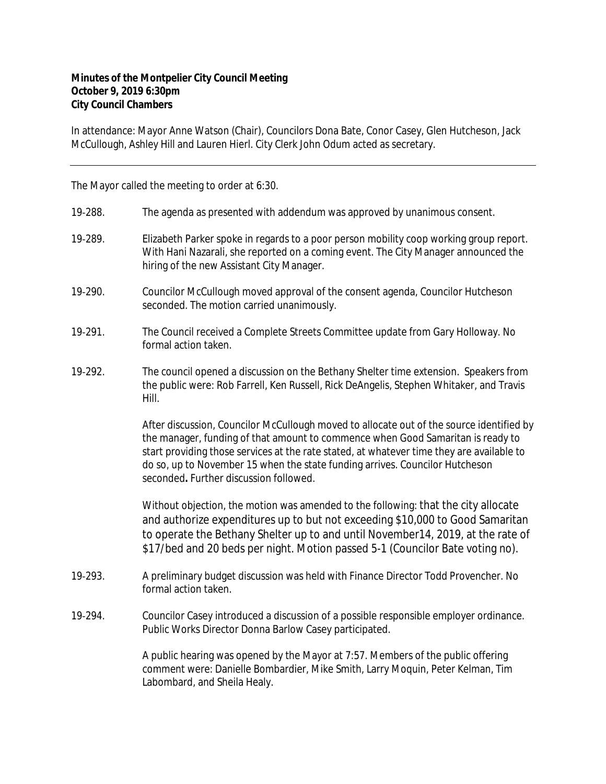## **Minutes of the Montpelier City Council Meeting October 9, 2019 6:30pm City Council Chambers**

In attendance: Mayor Anne Watson (Chair), Councilors Dona Bate, Conor Casey, Glen Hutcheson, Jack McCullough, Ashley Hill and Lauren Hierl. City Clerk John Odum acted as secretary.

The Mayor called the meeting to order at 6:30.

- 19‐288. The agenda as presented with addendum was approved by unanimous consent.
- 19-289. Elizabeth Parker spoke in regards to a poor person mobility coop working group report. With Hani Nazarali, she reported on a coming event. The City Manager announced the hiring of the new Assistant City Manager.
- 19‐290. Councilor McCullough moved approval of the consent agenda, Councilor Hutcheson seconded. The motion carried unanimously.
- 19-291. The Council received a Complete Streets Committee update from Gary Holloway. No formal action taken.
- 19‐292. The council opened a discussion on the Bethany Shelter time extension. Speakers from the public were: Rob Farrell, Ken Russell, Rick DeAngelis, Stephen Whitaker, and Travis Hill.

After discussion, Councilor McCullough moved to allocate out of the source identified by the manager, funding of that amount to commence when Good Samaritan is ready to start providing those services at the rate stated, at whatever time they are available to do so, up to November 15 when the state funding arrives. Councilor Hutcheson seconded**.** Further discussion followed.

Without objection, the motion was amended to the following: that the city allocate and authorize expenditures up to but not exceeding \$10,000 to Good Samaritan to operate the Bethany Shelter up to and until November14, 2019, at the rate of \$17/bed and 20 beds per night. Motion passed 5-1 (Councilor Bate voting no).

- 19‐293. A preliminary budget discussion was held with Finance Director Todd Provencher. No formal action taken.
- 19‐294. Councilor Casey introduced a discussion of a possible responsible employer ordinance. Public Works Director Donna Barlow Casey participated.

A public hearing was opened by the Mayor at 7:57. Members of the public offering comment were: Danielle Bombardier, Mike Smith, Larry Moquin, Peter Kelman, Tim Labombard, and Sheila Healy.